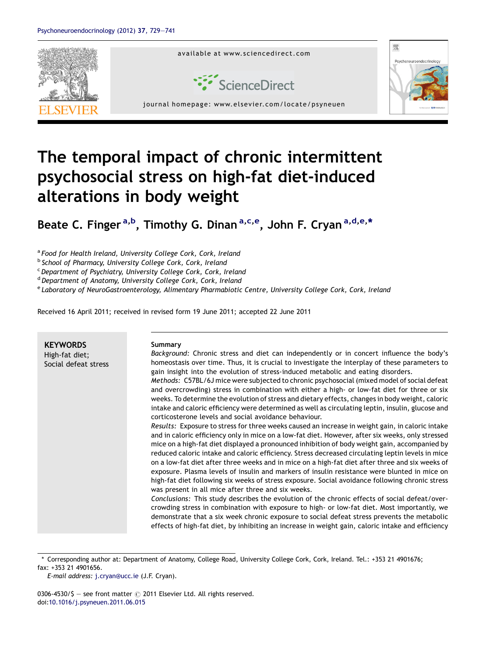

# The temporal impact of chronic intermittent psychosocial stress on high-fat diet-induced alterations in body weight

Beate C. Finger <sup>a,b</sup>, Timothy G. Dinan <sup>a,c,e</sup>, John F. Cryan <sup>a,d,e,\*</sup>

<sup>a</sup> Food for Health Ireland, University College Cork, Cork, Ireland

<sup>b</sup> School of Pharmacy, University College Cork, Cork, Ireland

<sup>c</sup> Department of Psychiatry, University College Cork, Cork, Ireland

<sup>d</sup> Department of Anatomy, University College Cork, Cork, Ireland

<sup>e</sup> Laboratory of NeuroGastroenterology, Alimentary Pharmabiotic Centre, University College Cork, Cork, Ireland

Received 16 April 2011; received in revised form 19 June 2011; accepted 22 June 2011

**KEYWORDS** High-fat diet; Social defeat stress

#### Summary

Background: Chronic stress and diet can independently or in concert influence the body's homeostasis over time. Thus, it is crucial to investigate the interplay of these parameters to gain insight into the evolution of stress-induced metabolic and eating disorders.

Methods: C57BL/6J mice were subjected to chronic psychosocial (mixed model of social defeat and overcrowding) stress in combination with either a high- or low-fat diet for three or six weeks. To determine the evolution of stress and dietary effects, changes in body weight, caloric intake and caloric efficiency were determined as well as circulating leptin, insulin, glucose and corticosterone levels and social avoidance behaviour.

Results: Exposure to stress for three weeks caused an increase in weight gain, in caloric intake and in caloric efficiency only in mice on a low-fat diet. However, after six weeks, only stressed mice on a high-fat diet displayed a pronounced inhibition of body weight gain, accompanied by reduced caloric intake and caloric efficiency. Stress decreased circulating leptin levels in mice on a low-fat diet after three weeks and in mice on a high-fat diet after three and six weeks of exposure. Plasma levels of insulin and markers of insulin resistance were blunted in mice on high-fat diet following six weeks of stress exposure. Social avoidance following chronic stress was present in all mice after three and six weeks.

Conclusions: This study describes the evolution of the chronic effects of social defeat/overcrowding stress in combination with exposure to high- or low-fat diet. Most importantly, we demonstrate that a six week chronic exposure to social defeat stress prevents the metabolic effects of high-fat diet, by inhibiting an increase in weight gain, caloric intake and efficiency

E-mail address: [j.cryan@ucc.ie](mailto:j.cryan@ucc.ie) (J.F. Cryan).

0306-4530/\$ - see front matter  $\odot$  2011 Elsevier Ltd. All rights reserved. doi[:10.1016/j.psyneuen.2011.06.015](http://dx.doi.org/10.1016/j.psyneuen.2011.06.015)

<sup>\*</sup> Corresponding author at: Department of Anatomy, College Road, University College Cork, Cork, Ireland. Tel.: +353 21 4901676; fax: +353 21 4901656.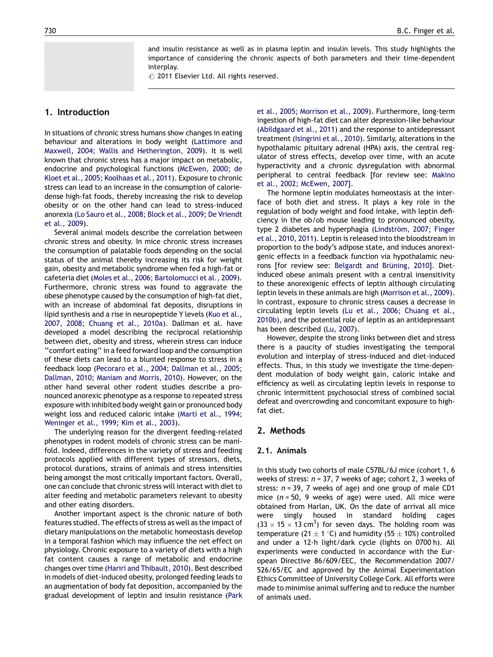and insulin resistance as well as in plasma leptin and insulin levels. This study highlights the importance of considering the chronic aspects of both parameters and their time-dependent interplay.

 $\circled{c}$  2011 Elsevier Ltd. All rights reserved.

### 1. Introduction

In situations of chronic stress humans show changes in eating behaviour and alterations in body weight ([Lattimore](#page--1-0) and Maxwell, 2004; Wallis and [Hetherington,](#page--1-0) 2009). It is well known that chronic stress has a major impact on metabolic, endocrine and psychological functions [\(McEwen,](#page--1-0) 2000; de Kloet et al., 2005; [Koolhaas](#page--1-0) et al., 2011). Exposure to chronic stress can lead to an increase in the consumption of caloriedense high-fat foods, thereby increasing the risk to develop obesity or on the other hand can lead to stress-induced anorexia (Lo Sauro et al., 2008; Block et al., 2009; De [Vriendt](#page--1-0) et al., [2009\)](#page--1-0).

Several animal models describe the correlation between chronic stress and obesity. In mice chronic stress increases the consumption of palatable foods depending on the social status of the animal thereby increasing its risk for weight gain, obesity and metabolic syndrome when fed a high-fat or cafeteria diet (Moles et al., 2006; [Bartolomucci](#page--1-0) et al., 2009). Furthermore, chronic stress was found to aggravate the obese phenotype caused by the consumption of high-fat diet, with an increase of abdominal fat deposits, disruptions in lipid synthesis and a rise in neuropeptide Y levels ([Kuo](#page--1-0) et al., 2007, 2008; [Chuang](#page--1-0) et al., 2010a). Dallman et al. have developed a model describing the reciprocal relationship between diet, obesity and stress, wherein stress can induce ''comfort eating'' in a feed forward loop and the consumption of these diets can lead to a blunted response to stress in a feedback loop [\(Pecoraro](#page--1-0) et al., 2004; Dallman et al., 2005; [Dallman,](#page--1-0) 2010; Maniam and Morris, 2010). However, on the other hand several other rodent studies describe a pronounced anorexic phenotype as a response to repeated stress exposure with inhibited body weight gain or pronounced body weight loss and reduced caloric intake (Martí et al., [1994;](#page--1-0) [Weninger](#page--1-0) et al., 1999; Kim et al., 2003).

The underlying reason for the divergent feeding-related phenotypes in rodent models of chronic stress can be manifold. Indeed, differences in the variety of stress and feeding protocols applied with different types of stressors, diets, protocol durations, strains of animals and stress intensities being amongst the most critically important factors. Overall, one can conclude that chronic stress will interact with diet to alter feeding and metabolic parameters relevant to obesity and other eating disorders.

Another important aspect is the chronic nature of both features studied. The effects of stress as well as the impact of dietary manipulations on the metabolic homeostasis develop in a temporal fashion which may influence the net effect on physiology. Chronic exposure to a variety of diets with a high fat content causes a range of metabolic and endocrine changes over time (Hariri and [Thibault,](#page--1-0) 2010). Best described in models of diet-induced obesity, prolonged feeding leads to an augmentation of body fat deposition, accompanied by the gradual development of leptin and insulin resistance ([Park](#page--1-0) et al., 2005; [Morrison](#page--1-0) et al., 2009). Furthermore, long-term ingestion of high-fat diet can alter depression-like behaviour ([Abildgaard](#page--1-0) et al., 2011) and the response to antidepressant treatment ([Isingrini](#page--1-0) et al., 2010). Similarly, alterations in the hypothalamic pituitary adrenal (HPA) axis, the central regulator of stress effects, develop over time, with an acute hyperactivity and a chronic dysregulation with abnormal peripheral to central feedback [for review see: [Makino](#page--1-0) et al., 2002; [McEwen,](#page--1-0) 2007].

The hormone leptin modulates homeostasis at the interface of both diet and stress. It plays a key role in the regulation of body weight and food intake, with leptin deficiency in the ob/ob mouse leading to pronounced obesity, type 2 diabetes and hyperphagia (Lindström, 2007; Finger et al., [2010,](#page--1-0) 2011). Leptin is released into the bloodstream in proportion to the body's adipose state, and induces anorexigenic effects in a feedback function via hypothalamic neurons [for review see: Belgardt and Brüning, 2010]. Dietinduced obese animals present with a central insensitivity to these anorexigenic effects of leptin although circulating leptin levels in these animals are high ([Morrison](#page--1-0) et al., 2009). In contrast, exposure to chronic stress causes a decrease in circulating leptin levels (Lu et al., 2006; [Chuang](#page--1-0) et al., [2010b](#page--1-0)), and the potential role of leptin as an antidepressant has been described (Lu, [2007](#page--1-0)).

However, despite the strong links between diet and stress there is a paucity of studies investigating the temporal evolution and interplay of stress-induced and diet-induced effects. Thus, in this study we investigate the time-dependent modulation of body weight gain, caloric intake and efficiency as well as circulating leptin levels in response to chronic intermittent psychosocial stress of combined social defeat and overcrowding and concomitant exposure to highfat diet.

## 2. Methods

#### 2.1. Animals

In this study two cohorts of male C57BL/6J mice (cohort 1, 6 weeks of stress:  $n = 37$ , 7 weeks of age; cohort 2, 3 weeks of stress:  $n = 39$ , 7 weeks of age) and one group of male CD1 mice  $(n = 50, 9$  weeks of age) were used. All mice were obtained from Harlan, UK. On the date of arrival all mice were singly housed in standard holding cages  $(33 \times 15 \times 13 \text{ cm}^3)$  for seven days. The holding room was temperature (21  $\pm$  1 °C) and humidity (55  $\pm$  10%) controlled and under a 12-h light/dark cycle (lights on 0700 h). All experiments were conducted in accordance with the European Directive 86/609/EEC, the Recommendation 2007/ 526/65/EC and approved by the Animal Experimentation Ethics Committee of University College Cork. All efforts were made to minimise animal suffering and to reduce the number of animals used.